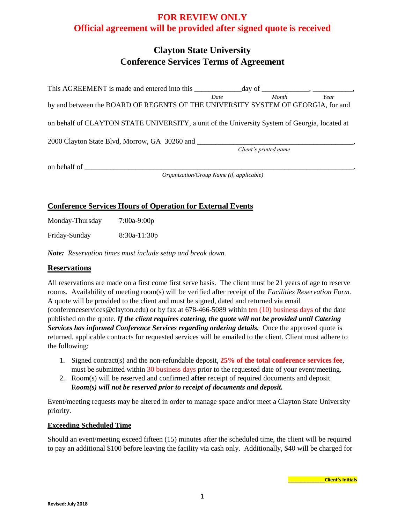# **FOR REVIEW ONLY Official agreement will be provided after signed quote is received**

# **Clayton State University Conference Services Terms of Agreement**

| This AGREEMENT is made and entered into this                                                  |                                                 |                       |      |
|-----------------------------------------------------------------------------------------------|-------------------------------------------------|-----------------------|------|
| by and between the BOARD OF REGENTS OF THE UNIVERSITY SYSTEM OF GEORGIA, for and              | Date                                            | Month                 | Year |
| on behalf of CLAYTON STATE UNIVERSITY, a unit of the University System of Georgia, located at |                                                 |                       |      |
| 2000 Clayton State Blvd, Morrow, GA 30260 and                                                 |                                                 | Client's printed name |      |
| on behalf of                                                                                  | <i>Organization/Group Name (if, applicable)</i> |                       |      |

## **Conference Services Hours of Operation for External Events**

Monday-Thursday 7:00a-9:00p

Friday-Sunday 8:30a-11:30p

*Note: Reservation times must include setup and break down.*

## **Reservations**

All reservations are made on a first come first serve basis. The client must be 21 years of age to reserve rooms. Availability of meeting room(s) will be verified after receipt of the *Facilities Reservation Form.*  A quote will be provided to the client and must be signed, dated and returned via email (conferenceservices@clayton.edu) or by fax at 678-466-5089 within ten (10) business days of the date published on the quote. *If the client requires catering, the quote will not be provided until Catering Services has informed Conference Services regarding ordering details.* Once the approved quote is returned, applicable contracts for requested services will be emailed to the client. Client must adhere to the following:

- 1. Signed contract(s) and the non-refundable deposit, **25% of the total conference services fee**, must be submitted within 30 business days prior to the requested date of your event/meeting.
- 2. Room(s) will be reserved and confirmed **after** receipt of required documents and deposit. R*oom(s) will not be reserved prior to receipt of documents and deposit.*

Event/meeting requests may be altered in order to manage space and/or meet a Clayton State University priority.

#### **Exceeding Scheduled Time**

Should an event/meeting exceed fifteen (15) minutes after the scheduled time, the client will be required to pay an additional \$100 before leaving the facility via cash only. Additionally, \$40 will be charged for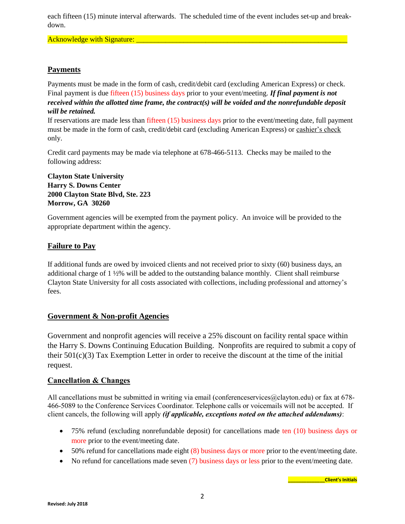each fifteen (15) minute interval afterwards. The scheduled time of the event includes set-up and breakdown.

Acknowledge with Signature:

# **Payments**

Payments must be made in the form of cash, credit/debit card (excluding American Express) or check. Final payment is due fifteen (15) business days prior to your event/meeting. *If final payment is not received within the allotted time frame, the contract(s) will be voided and the nonrefundable deposit will be retained.*

If reservations are made less than fifteen (15) business days prior to the event/meeting date, full payment must be made in the form of cash, credit/debit card (excluding American Express) or cashier's check only.

Credit card payments may be made via telephone at 678-466-5113. Checks may be mailed to the following address:

**Clayton State University Harry S. Downs Center 2000 Clayton State Blvd, Ste. 223 Morrow, GA 30260**

Government agencies will be exempted from the payment policy. An invoice will be provided to the appropriate department within the agency.

## **Failure to Pay**

If additional funds are owed by invoiced clients and not received prior to sixty (60) business days, an additional charge of 1 ½% will be added to the outstanding balance monthly. Client shall reimburse Clayton State University for all costs associated with collections, including professional and attorney's fees.

## **Government & Non-profit Agencies**

Government and nonprofit agencies will receive a 25% discount on facility rental space within the Harry S. Downs Continuing Education Building. Nonprofits are required to submit a copy of their  $501(c)(3)$  Tax Exemption Letter in order to receive the discount at the time of the initial request.

## **Cancellation & Changes**

All cancellations must be submitted in writing via email (conferenceservices@clayton.edu) or fax at 678-466-5089 to the Conference Services Coordinator. Telephone calls or voicemails will not be accepted. If client cancels, the following will apply *(if applicable, exceptions noted on the attached addendums)*:

- 75% refund (excluding nonrefundable deposit) for cancellations made ten (10) business days or more prior to the event/meeting date.
- 50% refund for cancellations made eight (8) business days or more prior to the event/meeting date.
- No refund for cancellations made seven (7) business days or less prior to the event/meeting date.

**\_\_\_\_\_\_\_\_\_\_\_\_\_\_Client's Initials**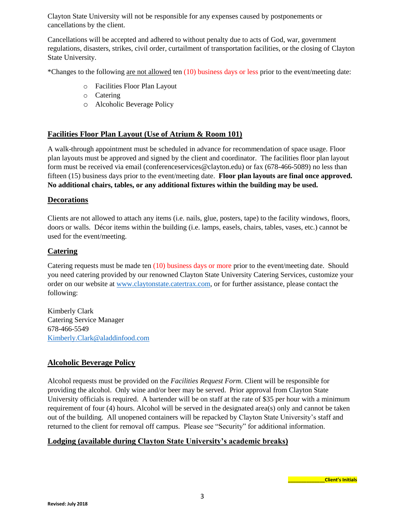Clayton State University will not be responsible for any expenses caused by postponements or cancellations by the client.

Cancellations will be accepted and adhered to without penalty due to acts of God, war, government regulations, disasters, strikes, civil order, curtailment of transportation facilities, or the closing of Clayton State University.

\*Changes to the following are not allowed ten (10) business days or less prior to the event/meeting date:

- o Facilities Floor Plan Layout
- o Catering
- o Alcoholic Beverage Policy

## **Facilities Floor Plan Layout (Use of Atrium & Room 101)**

A walk-through appointment must be scheduled in advance for recommendation of space usage. Floor plan layouts must be approved and signed by the client and coordinator. The facilities floor plan layout form must be received via email (conferenceservices@clayton.edu) or fax (678-466-5089) no less than fifteen (15) business days prior to the event/meeting date. **Floor plan layouts are final once approved. No additional chairs, tables, or any additional fixtures within the building may be used.**

#### **Decorations**

Clients are not allowed to attach any items (i.e. nails, glue, posters, tape) to the facility windows, floors, doors or walls. Décor items within the building (i.e. lamps, easels, chairs, tables, vases, etc.) cannot be used for the event/meeting.

## **Catering**

Catering requests must be made ten (10) business days or more prior to the event/meeting date. Should you need catering provided by our renowned Clayton State University Catering Services, customize your order on our website at [www.claytonstate.catertrax.com,](http://www.claytonstate.catertrax.com/) or for further assistance, please contact the following:

Kimberly Clark Catering Service Manager 678-466-5549 [Kimberly.Clark@aladdinfood.com](mailto:Kimberly.Clark@aladdinfood.com)

# **Alcoholic Beverage Policy**

Alcohol requests must be provided on the *Facilities Request Form*. Client will be responsible for providing the alcohol. Only wine and/or beer may be served. Prior approval from Clayton State University officials is required. A bartender will be on staff at the rate of \$35 per hour with a minimum requirement of four (4) hours. Alcohol will be served in the designated area(s) only and cannot be taken out of the building. All unopened containers will be repacked by Clayton State University's staff and returned to the client for removal off campus. Please see "Security" for additional information.

# **Lodging (available during Clayton State University's academic breaks)**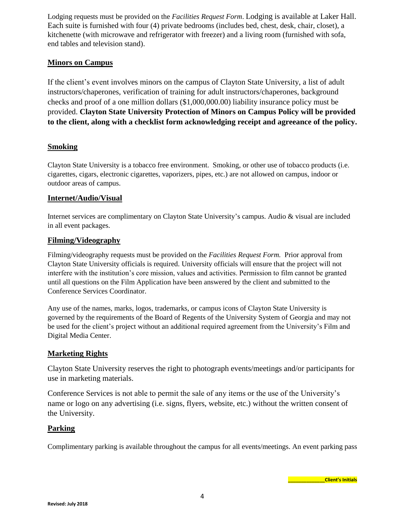Lodging requests must be provided on the *Facilities Request Form*. Lodging is available at Laker Hall. Each suite is furnished with four (4) private bedrooms (includes bed, chest, desk, chair, closet), a kitchenette (with microwave and refrigerator with freezer) and a living room (furnished with sofa, end tables and television stand).

# **Minors on Campus**

If the client's event involves minors on the campus of Clayton State University, a list of adult instructors/chaperones, verification of training for adult instructors/chaperones, background checks and proof of a one million dollars (\$1,000,000.00) liability insurance policy must be provided. **Clayton State University Protection of Minors on Campus Policy will be provided to the client, along with a checklist form acknowledging receipt and agreeance of the policy.**

# **Smoking**

Clayton State University is a tobacco free environment. Smoking, or other use of tobacco products (i.e. cigarettes, cigars, electronic cigarettes, vaporizers, pipes, etc.) are not allowed on campus, indoor or outdoor areas of campus.

## **Internet/Audio/Visual**

Internet services are complimentary on Clayton State University's campus. Audio & visual are included in all event packages.

## **Filming/Videography**

Filming/videography requests must be provided on the *Facilities Request Form.* Prior approval from Clayton State University officials is required. University officials will ensure that the project will not interfere with the institution's core mission, values and activities. Permission to film cannot be granted until all questions on the Film Application have been answered by the client and submitted to the Conference Services Coordinator.

Any use of the names, marks, logos, trademarks, or campus icons of Clayton State University is governed by the requirements of the Board of Regents of the University System of Georgia and may not be used for the client's project without an additional required agreement from the University's Film and Digital Media Center.

## **Marketing Rights**

Clayton State University reserves the right to photograph events/meetings and/or participants for use in marketing materials.

Conference Services is not able to permit the sale of any items or the use of the University's name or logo on any advertising (i.e. signs, flyers, website, etc.) without the written consent of the University.

## **Parking**

Complimentary parking is available throughout the campus for all events/meetings. An event parking pass

**\_\_\_\_\_\_\_\_\_\_\_\_\_\_Client's Initials**